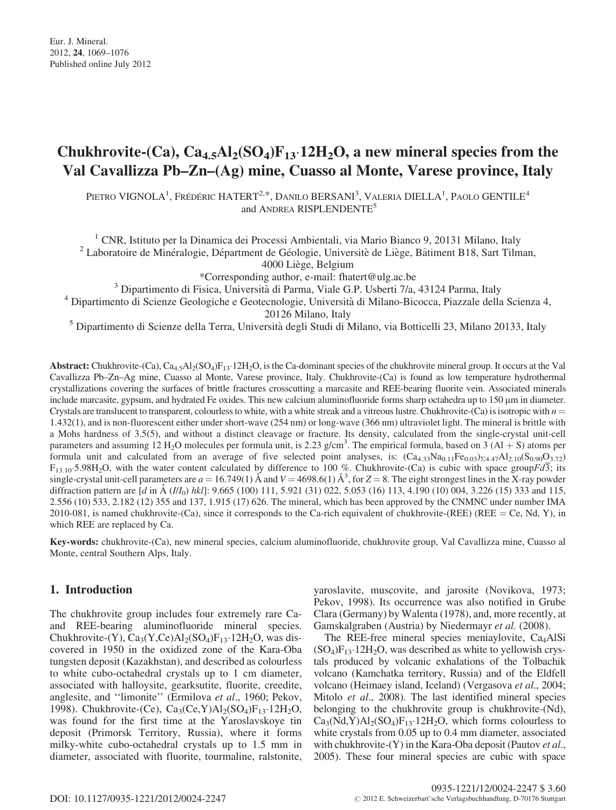# Chukhrovite-(Ca),  $\text{Ca}_{4.5}\text{Al}_2(\text{SO}_4)\text{F}_{13}\cdot12\text{H}_2\text{O}$ , a new mineral species from the Val Cavallizza Pb–Zn–(Ag) mine, Cuasso al Monte, Varese province, Italy

PIETRO VIGNOLA<sup>1</sup>, Frédéric HATERT<sup>2,\*</sup>, Danilo BERSANI<sup>3</sup>, Valeria DIELLA<sup>1</sup>, Paolo GENTILE<sup>4</sup> and ANDREA RISPLENDENTE<sup>5</sup>

<sup>1</sup> CNR, Istituto per la Dinamica dei Processi Ambientali, via Mario Bianco 9, 20131 Milano, Italy <sup>2</sup> Laboratoire de Minéralogie, Départment de Géologie, Universitè de Liège, Bâtiment B18, Sart Tilman,

4000 Liège, Belgium

\*Corresponding author, e-mail: fhatert@ulg.ac.be

<sup>3</sup> Dipartimento di Fisica, Universita` di Parma, Viale G.P. Usberti 7/a, 43124 Parma, Italy

<sup>4</sup> Dipartimento di Scienze Geologiche e Geotecnologie, Università di Milano-Bicocca, Piazzale della Scienza 4, 20126 Milano, Italy

<sup>5</sup> Dipartimento di Scienze della Terra, Università degli Studi di Milano, via Botticelli 23, Milano 20133, Italy

**Abstract:** Chukhrovite-(Ca),  $Ca_{4.5}Al_2(SO_4)F_{13} \cdot 12H_2O$ , is the Ca-dominant species of the chukhrovite mineral group. It occurs at the Val Cavallizza Pb–Zn–Ag mine, Cuasso al Monte, Varese province, Italy. Chukhrovite-(Ca) is found as low temperature hydrothermal crystallizations covering the surfaces of brittle fractures crosscutting a marcasite and REE-bearing fluorite vein. Associated minerals include marcasite, gypsum, and hydrated Fe oxides. This new calcium aluminofluoride forms sharp octahedra up to  $150 \mu m$  in diameter. Crystals are translucent to transparent, colourless to white, with a white streak and a vitreous lustre. Chukhrovite-(Ca) is isotropic with  $n =$ 1.432(1), and is non-fluorescent either under short-wave (254 nm) or long-wave (366 nm) ultraviolet light. The mineral is brittle with a Mohs hardness of 3.5(5), and without a distinct cleavage or fracture. Its density, calculated from the single-crystal unit-cell parameters and assuming 12 H<sub>2</sub>O molecules per formula unit, is 2.23 g/cm<sup>3</sup>. The empirical formula, based on  $3(A1 + S)$  atoms per formula unit and calculated from an average of five selected point analyses, is:  $(Ca_{4,33}Na_{0,11}Fe_{0,03})_{\Sigma4.47}Al_{2,10}(S_{0,90}O_{3,72})$  $F_{13.10}$ -5.98H<sub>2</sub>O, with the water content calculated by difference to 100 %. Chukhrovite-(Ca) is cubic with space groupFd3; its single-crystal unit-cell parameters are  $a = 16.749(1)$  Å and  $V = 4698.6(1)$  Å<sup>3</sup>, for  $Z = 8$ . The eight strongest lines in the X-ray powder diffraction pattern are  $\left[d \text{ in } A \left( \frac{II}{0} \right) h k \right]$ : 9.665 (100) 111, 5.921 (31) 022, 5.053 (16) 113, 4.190 (10) 004, 3.226 (15) 333 and 115, 2.556 (10) 533, 2.182 (12) 355 and 137, 1.915 (17) 626. The mineral, which has been approved by the CNMNC under number IMA 2010-081, is named chukhrovite-(Ca), since it corresponds to the Ca-rich equivalent of chukhrovite-(REE) (REE = Ce, Nd, Y), in which REE are replaced by Ca.

Key-words: chukhrovite-(Ca), new mineral species, calcium aluminofluoride, chukhrovite group, Val Cavallizza mine, Cuasso al Monte, central Southern Alps, Italy.

# 1. Introduction

The chukhrovite group includes four extremely rare Caand REE-bearing aluminofluoride mineral species. Chukhrovite-(Y),  $Ca_3(Y, Ce)Al_2(SO_4)F_{13}.12H_2O$ , was discovered in 1950 in the oxidized zone of the Kara-Oba tungsten deposit (Kazakhstan), and described as colourless to white cubo-octahedral crystals up to 1 cm diameter, associated with halloysite, gearksutite, fluorite, creedite, anglesite, and ''limonite'' (Ermilova et al., 1960; Pekov, 1998). Chukhrovite-(Ce),  $Ca_3(Ce, Y)Al_2(SO_4)F_{13}.12H_2O$ , was found for the first time at the Yaroslavskoye tin deposit (Primorsk Territory, Russia), where it forms milky-white cubo-octahedral crystals up to 1.5 mm in diameter, associated with fluorite, tourmaline, ralstonite,

yaroslavite, muscovite, and jarosite (Novikova, 1973; Pekov, 1998). Its occurrence was also notified in Grube Clara (Germany) by Walenta (1978), and, more recently, at Gamskalgraben (Austria) by Niedermayr et al. (2008).

The REE-free mineral species meniaylovite,  $Ca<sub>4</sub>AISi$  $(SO_4)F_{13}$  $\cdot$  12H<sub>2</sub>O, was described as white to yellowish crystals produced by volcanic exhalations of the Tolbachik volcano (Kamchatka territory, Russia) and of the Eldfell volcano (Heimaey island, Iceland) (Vergasova et al., 2004; Mitolo et al., 2008). The last identified mineral species belonging to the chukhrovite group is chukhrovite-(Nd),  $Ca<sub>3</sub>(Nd,Y)Al<sub>2</sub>(SO<sub>4</sub>)F<sub>13</sub>·12H<sub>2</sub>O, which forms colourless to$ white crystals from 0.05 up to 0.4 mm diameter, associated with chukhrovite- $(Y)$  in the Kara-Oba deposit (Pautov *et al.*, 2005). These four mineral species are cubic with space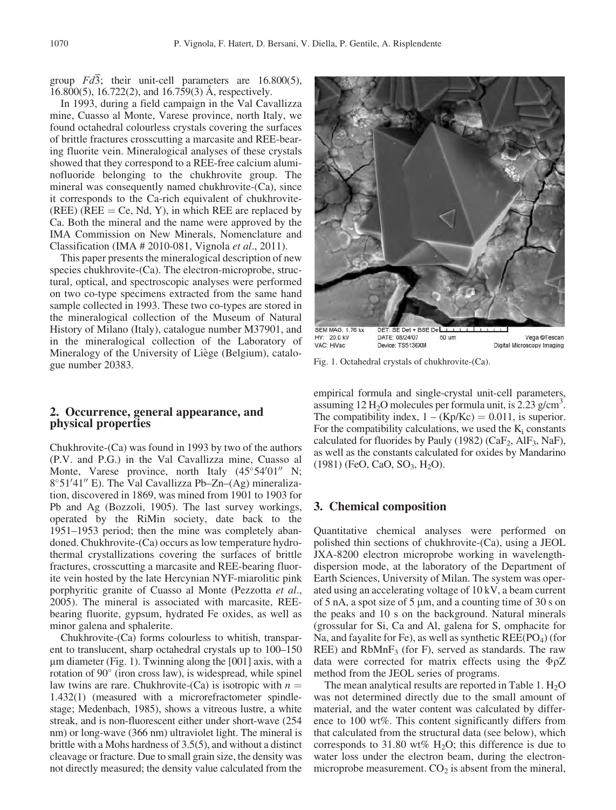group  $Fd\overline{3}$ ; their unit-cell parameters are 16.800(5), 16.800(5), 16.722(2), and 16.759(3)  $\AA$ , respectively.

In 1993, during a field campaign in the Val Cavallizza mine, Cuasso al Monte, Varese province, north Italy, we found octahedral colourless crystals covering the surfaces of brittle fractures crosscutting a marcasite and REE-bearing fluorite vein. Mineralogical analyses of these crystals showed that they correspond to a REE-free calcium aluminofluoride belonging to the chukhrovite group. The mineral was consequently named chukhrovite-(Ca), since it corresponds to the Ca-rich equivalent of chukhrovite- (REE) (REE = Ce, Nd, Y), in which REE are replaced by Ca. Both the mineral and the name were approved by the IMA Commission on New Minerals, Nomenclature and Classification (IMA # 2010-081, Vignola et al., 2011).

This paper presents the mineralogical description of new species chukhrovite-(Ca). The electron-microprobe, structural, optical, and spectroscopic analyses were performed on two co-type specimens extracted from the same hand sample collected in 1993. These two co-types are stored in the mineralogical collection of the Museum of Natural History of Milano (Italy), catalogue number M37901, and in the mineralogical collection of the Laboratory of Mineralogy of the University of Liège (Belgium), catalogue number 20383.

#### 2. Occurrence, general appearance, and physical properties

Chukhrovite-(Ca) was found in 1993 by two of the authors (P.V. and P.G.) in the Val Cavallizza mine, Cuasso al Monte, Varese province, north Italy  $(45^{\circ}54'01'' \text{ N};$ 8°51'41" E). The Val Cavallizza Pb-Zn-(Ag) mineralization, discovered in 1869, was mined from 1901 to 1903 for Pb and Ag (Bozzoli, 1905). The last survey workings, operated by the RiMin society, date back to the 1951–1953 period; then the mine was completely abandoned. Chukhrovite-(Ca) occurs as low temperature hydrothermal crystallizations covering the surfaces of brittle fractures, crosscutting a marcasite and REE-bearing fluorite vein hosted by the late Hercynian NYF-miarolitic pink porphyritic granite of Cuasso al Monte (Pezzotta et al., 2005). The mineral is associated with marcasite, REEbearing fluorite, gypsum, hydrated Fe oxides, as well as minor galena and sphalerite.

Chukhrovite-(Ca) forms colourless to whitish, transparent to translucent, sharp octahedral crystals up to 100–150  $\mu$ m diameter (Fig. 1). Twinning along the [001] axis, with a rotation of 90 $^{\circ}$  (iron cross law), is widespread, while spinel law twins are rare. Chukhrovite-(Ca) is isotropic with  $n =$ 1.432(1) (measured with a microrefractometer spindlestage; Medenbach, 1985), shows a vitreous lustre, a white streak, and is non-fluorescent either under short-wave (254 nm) or long-wave (366 nm) ultraviolet light. The mineral is brittle with a Mohs hardness of 3.5(5), and without a distinct cleavage or fracture. Due to small grain size, the density was not directly measured; the density value calculated from the



VAC: HiVac Device: TS5136XM Digital Microscopy Imaging

Fig. 1. Octahedral crystals of chukhrovite-(Ca).

empirical formula and single-crystal unit-cell parameters, assuming 12 H<sub>2</sub>O molecules per formula unit, is 2.23 g/cm<sup>3</sup>. The compatibility index,  $1 - (Kp/Kc) = 0.011$ , is superior. For the compatibility calculations, we used the  $K_i$  constants calculated for fluorides by Pauly (1982) ( $CaF_2$ , AlF<sub>3</sub>, NaF), as well as the constants calculated for oxides by Mandarino  $(1981)$  (FeO, CaO, SO<sub>3</sub>, H<sub>2</sub>O).

#### 3. Chemical composition

Quantitative chemical analyses were performed on polished thin sections of chukhrovite-(Ca), using a JEOL JXA-8200 electron microprobe working in wavelengthdispersion mode, at the laboratory of the Department of Earth Sciences, University of Milan. The system was operated using an accelerating voltage of 10 kV, a beam current of  $5$  nA, a spot size of  $5 \mu m$ , and a counting time of  $30 \text{ s}$  on the peaks and 10 s on the background. Natural minerals (grossular for Si, Ca and Al, galena for S, omphacite for Na, and fayalite for Fe), as well as synthetic  $REE(PO<sub>4</sub>)$  (for REE) and  $RbMnF<sub>3</sub>$  (for F), served as standards. The raw data were corrected for matrix effects using the  $\Phi \rho Z$ method from the JEOL series of programs.

The mean analytical results are reported in Table 1.  $H_2O$ was not determined directly due to the small amount of material, and the water content was calculated by difference to 100 wt%. This content significantly differs from that calculated from the structural data (see below), which corresponds to 31.80 wt%  $H_2O$ ; this difference is due to water loss under the electron beam, during the electronmicroprobe measurement.  $CO<sub>2</sub>$  is absent from the mineral,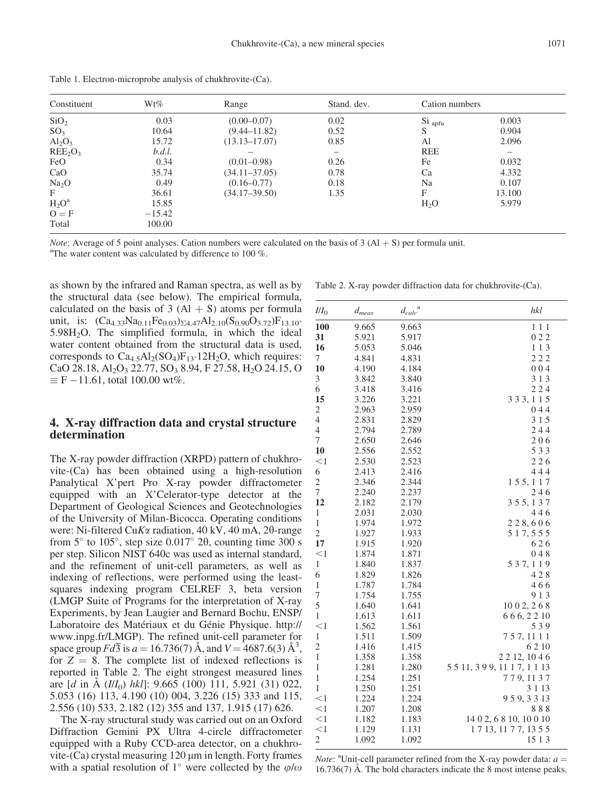| Constituent                     | $Wt\%$   | Range             | Stand. dev. | Cation numbers     |        |  |
|---------------------------------|----------|-------------------|-------------|--------------------|--------|--|
| SiO <sub>2</sub>                | 0.03     | $(0.00 - 0.07)$   | 0.02        | Si <sub>apfu</sub> | 0.003  |  |
| SO <sub>3</sub>                 | 10.64    | $(9.44 - 11.82)$  | 0.52        | S                  | 0.904  |  |
| $Al_2O_3$                       | 15.72    | $(13.13 - 17.07)$ | 0.85        | Al                 | 2.096  |  |
| REE <sub>2</sub> O <sub>3</sub> | b.d.l.   |                   |             | <b>REE</b>         |        |  |
| FeO                             | 0.34     | $(0.01 - 0.98)$   | 0.26        | Fe                 | 0.032  |  |
| CaO                             | 35.74    | $(34.11 - 37.05)$ | 0.78        | Ca                 | 4.332  |  |
| Na <sub>2</sub> O               | 0.49     | $(0.16 - 0.77)$   | 0.18        | Na                 | 0.107  |  |
| F                               | 36.61    | $(34.17 - 39.50)$ | 1.35        | F                  | 13.100 |  |
| $H_2O^a$                        | 15.85    |                   |             | H <sub>2</sub> O   | 5.979  |  |
| $O = F$                         | $-15.42$ |                   |             |                    |        |  |
| Total                           | 100.00   |                   |             |                    |        |  |

Table 1. Electron-microprobe analysis of chukhrovite-(Ca).

*Note:* Average of 5 point analyses. Cation numbers were calculated on the basis of 3 (Al + S) per formula unit. <sup>a</sup>The water content was calculated by difference to 100  $\%$ .

as shown by the infrared and Raman spectra, as well as by the structural data (see below). The empirical formula, calculated on the basis of 3  $(A1 + S)$  atoms per formula unit, is:  $(Ca_{4.33}Na_{0.11}Fe_{0.03})_{\Sigma4.47}Al_{2.10}(S_{0.90}O_{3.72})F_{13.10}$ 5.98H2O. The simplified formula, in which the ideal water content obtained from the structural data is used, corresponds to  $Ca_{4.5}Al_2(SO_4)F_{13}.12H_2O$ , which requires: CaO 28.18, Al<sub>2</sub>O<sub>3</sub> 22.77, SO<sub>3</sub> 8.94, F 27.58, H<sub>2</sub>O 24.15, O  $\equiv$  F -11.61, total 100.00 wt%.

#### 4. X-ray diffraction data and crystal structure determination

The X-ray powder diffraction (XRPD) pattern of chukhrovite-(Ca) has been obtained using a high-resolution Panalytical X'pert Pro X-ray powder diffractometer equipped with an X'Celerator-type detector at the Department of Geological Sciences and Geotechnologies of the University of Milan-Bicocca. Operating conditions were: Ni-filtered CuK $\alpha$  radiation, 40 kV, 40 mA, 20-range from  $5^{\circ}$  to  $105^{\circ}$ , step size  $0.017^{\circ}$  2 $\theta$ , counting time 300 s per step. Silicon NIST 640c was used as internal standard, and the refinement of unit-cell parameters, as well as indexing of reflections, were performed using the leastsquares indexing program CELREF 3, beta version (LMGP Suite of Programs for the interpretation of X-ray Experiments, by Jean Laugier and Bernard Bochu, ENSP/ Laboratoire des Matériaux et du Génie Physique. http:// www.inpg.fr/LMGP). The refined unit-cell parameter for space group  $Fd\overline{3}$  is  $a = 16.736(7)$  Å, and  $V = 4687.6(3)$  Å<sup>3</sup>, for  $Z = 8$ . The complete list of indexed reflections is reported in Table 2. The eight strongest measured lines are  $[d \text{ in } A \text{ (III<sub>0</sub>) } hkl]$ : 9.665 (100) 111, 5.921 (31) 022, 5.053 (16) 113, 4.190 (10) 004, 3.226 (15) 333 and 115, 2.556 (10) 533, 2.182 (12) 355 and 137, 1.915 (17) 626.

The X-ray structural study was carried out on an Oxford Diffraction Gemini PX Ultra 4-circle diffractometer equipped with a Ruby CCD-area detector, on a chukhrovite- $(Ca)$  crystal measuring 120  $\mu$ m in length. Forty frames with a spatial resolution of 1° were collected by the  $\varphi/\omega$ 

|  |  |  |  | Table 2. X-ray powder diffraction data for chukhrovite-(Ca). |  |
|--|--|--|--|--------------------------------------------------------------|--|
|--|--|--|--|--------------------------------------------------------------|--|

| III <sub>0</sub>        | $d_{meas}$ | $\ensuremath{d_{calc}}^{\rm a}$ | hkl                            |
|-------------------------|------------|---------------------------------|--------------------------------|
| 100                     | 9.665      | 9.663                           | 111                            |
| 31                      | 5.921      | 5.917                           | 022                            |
| 16                      | 5.053      | 5.046                           | 113                            |
| 7                       | 4.841      | 4.831                           | 222                            |
| 10                      | 4.190      | 4.184                           | 004                            |
| 3                       | 3.842      | 3.840                           | 313                            |
| 6                       | 3.418      | 3.416                           | 224                            |
| 15                      | 3.226      | 3.221                           | 3 3 3, 1 1 5                   |
| $\overline{c}$          | 2.963      | 2.959                           | 044                            |
| $\overline{4}$          | 2.831      | 2.829                           | 315                            |
| 4                       | 2.794      | 2.789                           | 244                            |
| 7                       | 2.650      | 2.646                           | 206                            |
| 10                      | 2.556      | 2.552                           | 533                            |
| $<$ 1                   | 2.530      | 2.523                           | 226                            |
| 6                       | 2.413      | 2.416                           | 444                            |
| $\overline{\mathbf{c}}$ | 2.346      | 2.344                           | 155, 117                       |
| 7                       | 2.240      | 2.237                           | 246                            |
| 12                      | 2.182      | 2.179                           | 355, 137                       |
| $\mathbf{1}$            | 2.031      | 2.030                           | 446                            |
| 1                       | 1.974      | 1.972                           | 228,606                        |
| 2                       | 1.927      | 1.933                           | 5 1 7, 5 5 5                   |
| 17                      | 1.915      | 1.920                           | 626                            |
| $<$ 1                   | 1.874      | 1.871                           | 048                            |
| $\mathbf{1}$            | 1.840      | 1.837                           | 537, 119                       |
| 6                       | 1.829      | 1.826                           | 428                            |
| $\,1$                   | 1.787      | 1.784                           | 466                            |
| 7                       | 1.754      | 1.755                           | 9 1 3                          |
| 5                       | 1.640      | 1.641                           | 1002, 268                      |
| $\mathbf{1}$            | 1.613      | 1.611                           | 666, 2210                      |
| $<$ 1                   | 1.562      | 1.561                           | 539                            |
| 1                       | 1.511      | 1.509                           | 757, 1111                      |
| $\overline{\mathbf{c}}$ | 1.416      | 1.415                           | 6210                           |
| 1                       | 1.358      | 1.358                           | 2 2 1 2, 10 4 6                |
| 1                       | 1.281      | 1.280                           | 5 5 11, 3 9 9, 11 1 7, 1 1 1 3 |
| $\mathbf{1}$            | 1.254      | 1.251                           | 779, 1137                      |
| 1                       | 1.250      | 1.251                           | 3 1 1 3                        |
| $<$ 1                   | 1.224      | 1.224                           | 959, 3313                      |
| <1                      | 1.207      | 1.208                           | 888                            |
| <1                      | 1.182      | 1.183                           | 14 0 2, 6 8 10, 10 0 10        |
| <1                      | 1.129      | 1.131                           | 1713, 1177, 1355               |
| $\overline{\mathbf{c}}$ | 1.092      | 1.092                           | 15 1 3                         |

*Note*: <sup>a</sup>Unit-cell parameter refined from the X-ray powder data:  $a =$  $16.736(7)$  Å. The bold characters indicate the 8 most intense peaks.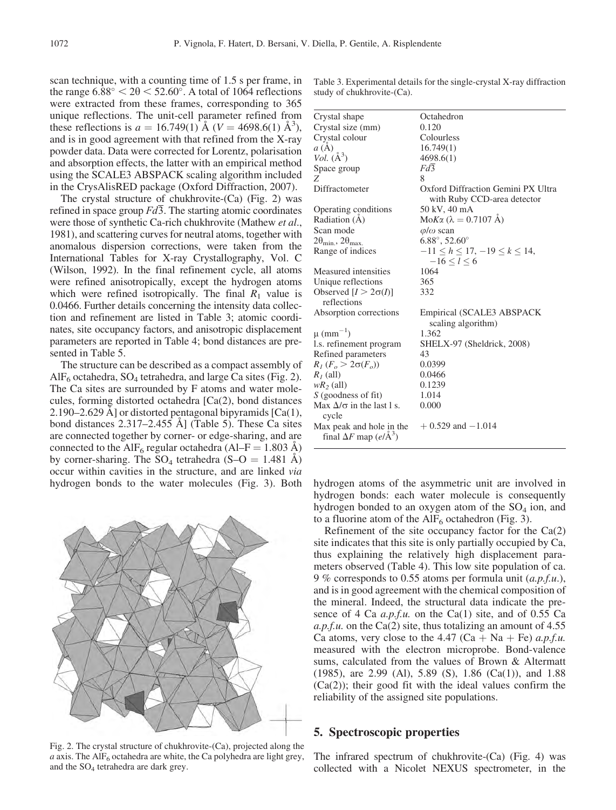scan technique, with a counting time of 1.5 s per frame, in the range  $6.88^\circ < 20 < 52.60^\circ$ . A total of 1064 reflections were extracted from these frames, corresponding to 365 unique reflections. The unit-cell parameter refined from these reflections is  $a = 16.749(1)$   $\text{\AA}$  (V = 4698.6(1)  $\text{\AA}^3$ ), and is in good agreement with that refined from the X-ray powder data. Data were corrected for Lorentz, polarisation and absorption effects, the latter with an empirical method using the SCALE3 ABSPACK scaling algorithm included in the CrysAlisRED package (Oxford Diffraction, 2007).

The crystal structure of chukhrovite-(Ca) (Fig. 2) was refined in space group  $Fd\overline{3}$ . The starting atomic coordinates were those of synthetic Ca-rich chukhrovite (Mathew et al., 1981), and scattering curves for neutral atoms, together with anomalous dispersion corrections, were taken from the International Tables for X-ray Crystallography, Vol. C (Wilson, 1992). In the final refinement cycle, all atoms were refined anisotropically, except the hydrogen atoms which were refined isotropically. The final  $R_1$  value is 0.0466. Further details concerning the intensity data collection and refinement are listed in Table 3; atomic coordinates, site occupancy factors, and anisotropic displacement parameters are reported in Table 4; bond distances are presented in Table 5.

The structure can be described as a compact assembly of  $\text{AlF}_6$  octahedra, SO<sub>4</sub> tetrahedra, and large Ca sites (Fig. 2). The Ca sites are surrounded by F atoms and water molecules, forming distorted octahedra [Ca(2), bond distances 2.190–2.629 A] or distorted pentagonal bipyramids  $[Ca(1),$ bond distances  $2.317-2.455$  Å] (Table 5). These Ca sites are connected together by corner- or edge-sharing, and are connected to the AlF<sub>6</sub> regular octahedra (Al–F = 1.803 A) by corner-sharing. The  $SO_4$  tetrahedra (S–O = 1.481 Å) occur within cavities in the structure, and are linked via hydrogen bonds to the water molecules (Fig. 3). Both hydrogen atoms of the asymmetric unit are involved in



Fig. 2. The crystal structure of chukhrovite-(Ca), projected along the  $a$  axis. The AlF<sub>6</sub> octahedra are white, the Ca polyhedra are light grey, and the  $SO_4$  tetrahedra are dark grey.

Table 3. Experimental details for the single-crystal X-ray diffraction study of chukhrovite-(Ca).

| Octahedron                                                        |
|-------------------------------------------------------------------|
| 0.120                                                             |
| Colourless                                                        |
| 16.749(1)                                                         |
| 4698.6(1)                                                         |
| Fd3                                                               |
| 8                                                                 |
| Oxford Diffraction Gemini PX Ultra<br>with Ruby CCD-area detector |
| 50 kV, 40 mA                                                      |
| Mo $K\alpha$ ( $\lambda = 0.7107$ Å)                              |
| $\varphi/\omega$ scan                                             |
| $6.88^{\circ}, 52.60^{\circ}$                                     |
| $-11 < h < 17, -19 < k < 14,$<br>$-16 < l < 6$                    |
| 1064                                                              |
| 365                                                               |
| 332                                                               |
| Empirical (SCALE3 ABSPACK<br>scaling algorithm)                   |
| 1.362                                                             |
| SHELX-97 (Sheldrick, 2008)                                        |
| 43                                                                |
| 0.0399                                                            |
| 0.0466                                                            |
| 0.1239                                                            |
| 1.014                                                             |
| 0.000                                                             |
| $+0.529$ and $-1.014$                                             |
|                                                                   |

hydrogen bonds: each water molecule is consequently hydrogen bonded to an oxygen atom of the  $SO<sub>4</sub>$  ion, and to a fluorine atom of the  $\text{AlF}_6$  octahedron (Fig. 3).

Refinement of the site occupancy factor for the  $Ca(2)$ site indicates that this site is only partially occupied by Ca, thus explaining the relatively high displacement parameters observed (Table 4). This low site population of ca. 9 % corresponds to 0.55 atoms per formula unit  $(a.p.f.u.)$ , and is in good agreement with the chemical composition of the mineral. Indeed, the structural data indicate the presence of 4 Ca  $a.p.f.u.$  on the Ca(1) site, and of 0.55 Ca a.p.f.u. on the Ca(2) site, thus totalizing an amount of  $4.55$ Ca atoms, very close to the 4.47 (Ca + Na + Fe)  $a.p.f.u.$ measured with the electron microprobe. Bond-valence sums, calculated from the values of Brown & Altermatt (1985), are 2.99 (Al), 5.89 (S), 1.86 (Ca(1)), and 1.88  $(Ca(2))$ ; their good fit with the ideal values confirm the reliability of the assigned site populations.

### 5. Spectroscopic properties

The infrared spectrum of chukhrovite-(Ca) (Fig. 4) was collected with a Nicolet NEXUS spectrometer, in the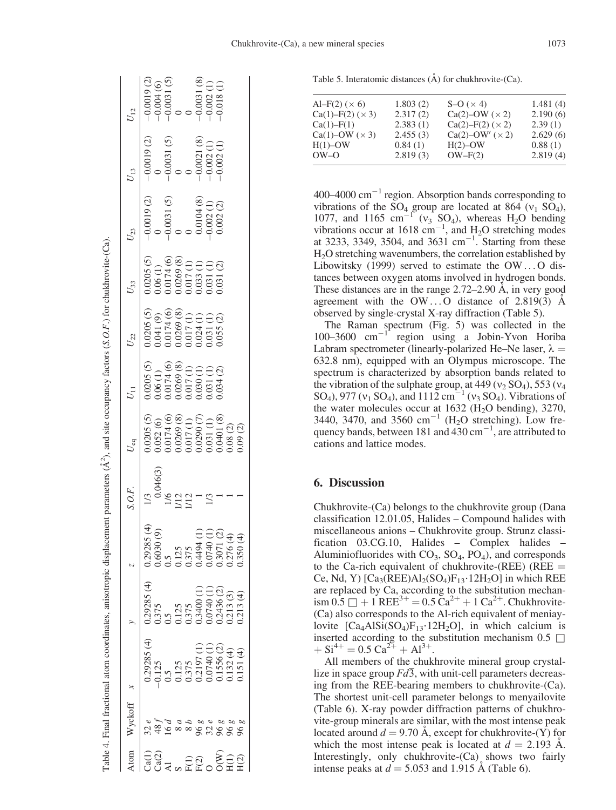|                             | Wyckoff       |                                                                                                                                                                                                                                                                                               |                                                                                                                  |                                                                                                                                                                                                                                          | 0.F. | $U_{\rm eq}$                                                                                                                                                                                                                                                                  |                                                                                                                                                                                                                                                                                                                                                                                                                 | $U_{22}$                                                                                                                                                                                                                                                                                         | $U_{33}$                                                                                                                                                                                                                                                         | $U_{23}$ | $U_{13}$                                                                                                                                                                                                                                                                                                                                  | $U_{12}$                                                                                                         |
|-----------------------------|---------------|-----------------------------------------------------------------------------------------------------------------------------------------------------------------------------------------------------------------------------------------------------------------------------------------------|------------------------------------------------------------------------------------------------------------------|------------------------------------------------------------------------------------------------------------------------------------------------------------------------------------------------------------------------------------------|------|-------------------------------------------------------------------------------------------------------------------------------------------------------------------------------------------------------------------------------------------------------------------------------|-----------------------------------------------------------------------------------------------------------------------------------------------------------------------------------------------------------------------------------------------------------------------------------------------------------------------------------------------------------------------------------------------------------------|--------------------------------------------------------------------------------------------------------------------------------------------------------------------------------------------------------------------------------------------------------------------------------------------------|------------------------------------------------------------------------------------------------------------------------------------------------------------------------------------------------------------------------------------------------------------------|----------|-------------------------------------------------------------------------------------------------------------------------------------------------------------------------------------------------------------------------------------------------------------------------------------------------------------------------------------------|------------------------------------------------------------------------------------------------------------------|
|                             | $\frac{e}{2}$ |                                                                                                                                                                                                                                                                                               |                                                                                                                  |                                                                                                                                                                                                                                          |      |                                                                                                                                                                                                                                                                               | $\begin{array}{l} \hspace{-0.5cm} \begin{array}{l} \hspace{-0.5cm} \text{10205 (5)} \\ \hspace{-0.5cm} \text{106 (1)} \\ \hspace{-0.5cm} \text{106 (2)} \\ \hspace{-0.5cm} \text{20174 (6)} \\ \hspace{-0.5cm} \text{2017 (1)} \\ \hspace{-0.5cm} \text{0117 (1)} \\ \hspace{-0.5cm} \text{013 (1)} \\ \hspace{-0.5cm} \text{013 (2)} \\ \hspace{-0.5cm} \text{013 (1)} \\ \hspace{-0.5cm} \text{013 (2)} \\ \$ | $\begin{array}{r} \begin{array}{r} \text{(10205 (5))} \\ \text{(1030 (6))} \\ \text{(1041 (9))} \\ \text{(1041 (9))} \\ \text{(1042 (9))} \\ \text{(1042 (9))} \\ \text{(1042 (9))} \\ \text{(1042 (9))} \\ \text{(1042 (9))} \\ \text{(1042 (9))} \\ \text{(1042 (9))} \end{array} \end{array}$ | $\begin{array}{l} 0.00000\\ 0.00000\\ 0.00000\\ 0.00000\\ 0.00000\\ 0.00000\\ 0.00000\\ 0.00000\\ 0.00000\\ 0.0000\\ 0.0000\\ 0.0000\\ 0.0000\\ 0.0000\\ 0.0000\\ 0.0000\\ 0.0000\\ 0.0000\\ 0.0000\\ 0.0000\\ 0.0000\\ 0.0000\\ 0.0000\\ 0.0000\\ 0.0000\\ 0.0$ |          |                                                                                                                                                                                                                                                                                                                                           | $-0.0019$ (2)<br>$-0.004$ (6)<br>$-0.0031$ (5)<br>$-0.0031$ (8)<br>$-0.0031$ (8)<br>$-0.002$ (1)<br>$-0.002$ (1) |
|                             |               |                                                                                                                                                                                                                                                                                               |                                                                                                                  |                                                                                                                                                                                                                                          |      |                                                                                                                                                                                                                                                                               |                                                                                                                                                                                                                                                                                                                                                                                                                 |                                                                                                                                                                                                                                                                                                  |                                                                                                                                                                                                                                                                  |          |                                                                                                                                                                                                                                                                                                                                           |                                                                                                                  |
| $\sum_{i=1}^{n}$            |               |                                                                                                                                                                                                                                                                                               |                                                                                                                  |                                                                                                                                                                                                                                          |      |                                                                                                                                                                                                                                                                               |                                                                                                                                                                                                                                                                                                                                                                                                                 |                                                                                                                                                                                                                                                                                                  |                                                                                                                                                                                                                                                                  |          |                                                                                                                                                                                                                                                                                                                                           |                                                                                                                  |
|                             |               |                                                                                                                                                                                                                                                                                               |                                                                                                                  |                                                                                                                                                                                                                                          |      |                                                                                                                                                                                                                                                                               |                                                                                                                                                                                                                                                                                                                                                                                                                 |                                                                                                                                                                                                                                                                                                  |                                                                                                                                                                                                                                                                  |          |                                                                                                                                                                                                                                                                                                                                           |                                                                                                                  |
|                             |               |                                                                                                                                                                                                                                                                                               |                                                                                                                  |                                                                                                                                                                                                                                          |      |                                                                                                                                                                                                                                                                               |                                                                                                                                                                                                                                                                                                                                                                                                                 |                                                                                                                                                                                                                                                                                                  |                                                                                                                                                                                                                                                                  |          |                                                                                                                                                                                                                                                                                                                                           |                                                                                                                  |
|                             |               |                                                                                                                                                                                                                                                                                               |                                                                                                                  |                                                                                                                                                                                                                                          |      |                                                                                                                                                                                                                                                                               |                                                                                                                                                                                                                                                                                                                                                                                                                 |                                                                                                                                                                                                                                                                                                  |                                                                                                                                                                                                                                                                  |          | $\begin{array}{c} -0.0019 \ (2) \\ 0 \\ 0 \\ -0.0031 \ (5) \\ 0 \\ 0 \\ 0 \\ -0.0021 \ (8) \\ -0.002 \ (1) \\ -0.002 \ (1) \\ -0.002 \ (1) \\ -0.002 \ (1) \\ -0.002 \ (1) \\ -0.002 \ (1) \\ -0.002 \ (1) \\ -0.002 \ (1) \\ -0.002 \ (1) \\ -0.002 \ (1) \\ -0.002 \ (1) \\ -0.002 \ (1) \\ -0.002 \ (1) \\ -0.002 \ (1) \\ -0.002 \ ($ |                                                                                                                  |
|                             |               |                                                                                                                                                                                                                                                                                               |                                                                                                                  |                                                                                                                                                                                                                                          |      |                                                                                                                                                                                                                                                                               |                                                                                                                                                                                                                                                                                                                                                                                                                 |                                                                                                                                                                                                                                                                                                  |                                                                                                                                                                                                                                                                  |          |                                                                                                                                                                                                                                                                                                                                           |                                                                                                                  |
| <b>SERO SER</b><br>SERO SER | 888888888888  | $\begin{array}{l} 1.25 \\ 0.5 \\ 0.125 \\ 0.1375 \\ 0.375 \\ 0.3197 \\ 0.03740 \\ 0.03740 \\ 0.03740 \\ 0.03740 \\ 0.0373 \\ 0.0334 \\ 0.0334 \\ 0.0334 \\ 0.0334 \\ 0.0334 \\ 0.0334 \\ 0.0334 \\ 0.0334 \\ 0.0334 \\ 0.0334 \\ 0.0334 \\ 0.0334 \\ 0.0334 \\ 0.0334 \\ 0.0334 \\ 0.0334 \\$ | (4)<br>0.375<br>0.575<br>0.575<br>0.575<br>0.7436 (2)<br>0.713 (4)<br>0.0.2436 (3)<br>0.0.213 (4)<br>0.0.213 (4) | $\begin{array}{l} 0.29285 \; (c\\ 0.6030 \; (9) \\ 0.6030 \; (9) \\ 0.125 \; \\ 0.125 \; \\ 0.375 \; \\ 0.0740 \; (1) \\ 0.0701 \; (2) \\ 0.3071 \; (2) \\ 0.3071 \; (2) \\ 0.300 \; (4) \\ 0.300 \; (4) \\ 0.350 \; (4) \\ \end{array}$ |      | $\begin{array}{l} 1.0205\ (5)\\ 1.052\ (6)\\ 1.052\ (6)\\ 1.0174\ (6)\\ 0.0174\ (6)\\ 0.017\ (1)\\ 0.017\ (1)\\ 0.017\ (1)\\ 0.0290\ (7)\\ 0.031\ (1)\\ 0.0401\ (8)\\ 0.08\ (2)\\ 0.08\ (2)\\ 0.09\ (0.09\ (2)\\ 0.00\ (0.01\ (2)\\ 0.00\ (0.01\ (2)\\ 0.00\ (0.01\ (2)\\ 0.$ |                                                                                                                                                                                                                                                                                                                                                                                                                 |                                                                                                                                                                                                                                                                                                  |                                                                                                                                                                                                                                                                  |          |                                                                                                                                                                                                                                                                                                                                           |                                                                                                                  |
|                             |               |                                                                                                                                                                                                                                                                                               |                                                                                                                  |                                                                                                                                                                                                                                          |      |                                                                                                                                                                                                                                                                               |                                                                                                                                                                                                                                                                                                                                                                                                                 |                                                                                                                                                                                                                                                                                                  |                                                                                                                                                                                                                                                                  |          |                                                                                                                                                                                                                                                                                                                                           |                                                                                                                  |
|                             |               |                                                                                                                                                                                                                                                                                               |                                                                                                                  |                                                                                                                                                                                                                                          |      |                                                                                                                                                                                                                                                                               |                                                                                                                                                                                                                                                                                                                                                                                                                 |                                                                                                                                                                                                                                                                                                  |                                                                                                                                                                                                                                                                  |          |                                                                                                                                                                                                                                                                                                                                           |                                                                                                                  |
|                             |               |                                                                                                                                                                                                                                                                                               |                                                                                                                  |                                                                                                                                                                                                                                          |      |                                                                                                                                                                                                                                                                               |                                                                                                                                                                                                                                                                                                                                                                                                                 |                                                                                                                                                                                                                                                                                                  |                                                                                                                                                                                                                                                                  |          |                                                                                                                                                                                                                                                                                                                                           |                                                                                                                  |

Table 4. Final fractional atom coordinates, anisotropic displacement parameters (A

Table 4. Final fractional atom coordinates, anisotropic displacement parameters  $(\hat{A}^2)$ , and site occupancy factors (*S.O.F.*) for chukhrovite-(Ca).

 $\mathring{A}^2$ ), and site occupancy factors (S.O.F.) for chukhrovite-(Ca).

Table 5. Interatomic distances  $(\AA)$  for chukhrovite-(Ca).

| Al-F(2) ( $\times$ 6)<br>$Ca(1) - F(2)$ ( $\times$ 3)<br>$Ca(1) - F(1)$<br>$Ca(1)$ -OW $(\times 3)$<br>$H(1)$ -OW | 1.803(2)<br>2.317(2)<br>2.383(1)<br>2.455(3)<br>0.84(1) | $S-O (x 4)$<br>Ca(2)–OW $(\times 2)$<br>$Ca(2) - F(2)$ ( $\times$ 2)<br>Ca(2)–OW' $(\times 2)$<br>$H(2)$ -OW | 1.481(4)<br>2.190(6)<br>2.39(1)<br>2.629(6)<br>0.88(1) |
|-------------------------------------------------------------------------------------------------------------------|---------------------------------------------------------|--------------------------------------------------------------------------------------------------------------|--------------------------------------------------------|
| OW–O                                                                                                              | 2.819(3)                                                | $OW-F(2)$                                                                                                    | 2.819(4)                                               |
|                                                                                                                   |                                                         |                                                                                                              |                                                        |

 $400-4000$  cm<sup>-1</sup> region. Absorption bands corresponding to vibrations of the  $SO_4$  group are located at 864 ( $v_1$  SO<sub>4</sub>), 1077, and 1165 cm<sup>-1</sup> ( $v_3$  SO<sub>4</sub>), whereas H<sub>2</sub>O bending vibrations occur at 1618  $\text{cm}^{-1}$ , and H<sub>2</sub>O stretching modes at 3233, 3349, 3504, and 3631  $cm^{-1}$ . Starting from these H2O stretching wavenumbers, the correlation established by Libowitsky (1999) served to estimate the  $OW \dots 0$  distances between oxygen atoms involved in hydrogen bonds. These distances are in the range  $2.72-2.90$  Å, in very good agreement with the  $OW \dots O$  distance of 2.819(3)  $\AA$ observed by single-crystal X-ray diffraction (Table 5).

The Raman spectrum (Fig. 5) was collected in the  $100-3600$  cm<sup>-1</sup> region using a Jobin-Yvon Horiba Labram spectrometer (linearly-polarized He–Ne laser,  $\lambda =$ 632.8 nm), equipped with an Olympus microscope. The spectrum is characterized by absorption bands related to the vibration of the sulphate group, at  $449 (v_2 SO_4)$ , 553 ( $v_4$ SO<sub>4</sub>), 977 ( $v_1$  SO<sub>4</sub>), and 1112 cm<sup>-1</sup> ( $v_3$  SO<sub>4</sub>). Vibrations of the water molecules occur at  $1632$  (H<sub>2</sub>O bending), 3270, 3440, 3470, and 3560  $cm^{-1}$  (H<sub>2</sub>O stretching). Low frequency bands, between 181 and  $430 \text{ cm}^{-1}$ , are attributed to cations and lattice modes.

## 6. Discussion

Chukhrovite-(Ca) belongs to the chukhrovite group (Dana classification 12.01.05, Halides – Compound halides with miscellaneous anions – Chukhrovite group. Strunz classification 03.CG.10, Halides – Complex halides – Aluminiofluorides with  $CO<sub>3</sub>$ ,  $SO<sub>4</sub>$ ,  $PO<sub>4</sub>$ ), and corresponds to the Ca-rich equivalent of chukhrovite-(REE) (REE  $=$ Ce, Nd, Y)  $\text{[Ca}_3(\text{REE})\text{Al}_2(\text{SO}_4)\text{F}_{13} \cdot 12\text{H}_2\text{O}]$  in which REE are replaced by Ca, according to the substitution mechan- $\lim_{x \to 0} 0.5 \Box + 1$  REE<sup>3+</sup> = 0.5 Ca<sup>2+</sup> + 1 Ca<sup>2+</sup>. Chukhrovite-(Ca) also corresponds to the Al-rich equivalent of meniaylovite  $[Ca<sub>4</sub> A1Si(SO<sub>4</sub>)F<sub>13</sub>·12H<sub>2</sub>O]$ , in which calcium is inserted according to the substitution mechanism  $0.5 \Box$  $+ Si^{4+} = 0.5 Ca^{2+} + Al^{3+}.$ 

All members of the chukhrovite mineral group crystallize in space group  $Fd\overline{3}$ , with unit-cell parameters decreasing from the REE-bearing members to chukhrovite-(Ca). The shortest unit-cell parameter belongs to menyailovite (Table 6). X-ray powder diffraction patterns of chukhrovite-group minerals are similar, with the most intense peak located around  $d = 9.70$  Å, except for chukhrovite-(Y) for which the most intense peak is located at  $d = 2.193$  A. Interestingly, only chukhrovite-(Ca) shows two fairly intense peaks at  $d = 5.053$  and 1.915 Å (Table 6).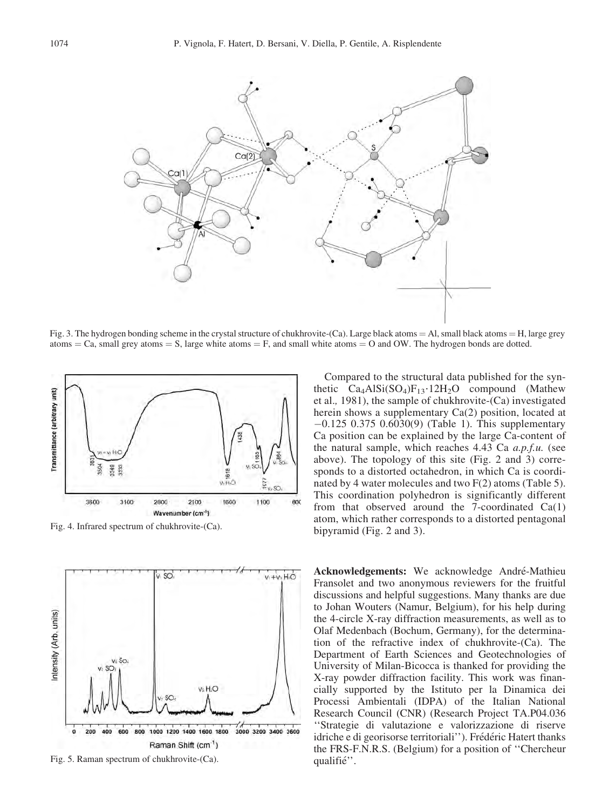

Fig. 3. The hydrogen bonding scheme in the crystal structure of chukhrovite-(Ca). Large black atoms = Al, small black atoms = H, large grey atoms  $=$  Ca, small grey atoms  $=$  S, large white atoms  $=$  F, and small white atoms  $=$  O and OW. The hydrogen bonds are dotted.



Fig. 4. Infrared spectrum of chukhrovite-(Ca).



Fig. 5. Raman spectrum of chukhrovite-(Ca).

Compared to the structural data published for the synthetic  $Ca<sub>4</sub> A1Si(SO<sub>4</sub>)F<sub>13</sub>·12H<sub>2</sub>O$  compound (Mathew et al., 1981), the sample of chukhrovite-(Ca) investigated herein shows a supplementary Ca(2) position, located at  $-0.125$  0.375 0.6030(9) (Table 1). This supplementary Ca position can be explained by the large Ca-content of the natural sample, which reaches  $4.43$  Ca  $a.p.f.u.$  (see above). The topology of this site (Fig. 2 and 3) corresponds to a distorted octahedron, in which Ca is coordinated by 4 water molecules and two F(2) atoms (Table 5). This coordination polyhedron is significantly different from that observed around the 7-coordinated  $Ca(1)$ atom, which rather corresponds to a distorted pentagonal bipyramid (Fig. 2 and 3).

Acknowledgements: We acknowledge André-Mathieu Fransolet and two anonymous reviewers for the fruitful discussions and helpful suggestions. Many thanks are due to Johan Wouters (Namur, Belgium), for his help during the 4-circle X-ray diffraction measurements, as well as to Olaf Medenbach (Bochum, Germany), for the determination of the refractive index of chukhrovite-(Ca). The Department of Earth Sciences and Geotechnologies of University of Milan-Bicocca is thanked for providing the X-ray powder diffraction facility. This work was financially supported by the Istituto per la Dinamica dei Processi Ambientali (IDPA) of the Italian National Research Council (CNR) (Research Project TA.P04.036 ''Strategie di valutazione e valorizzazione di riserve idriche e di georisorse territoriali"). Frédéric Hatert thanks the FRS-F.N.R.S. (Belgium) for a position of ''Chercheur qualifié".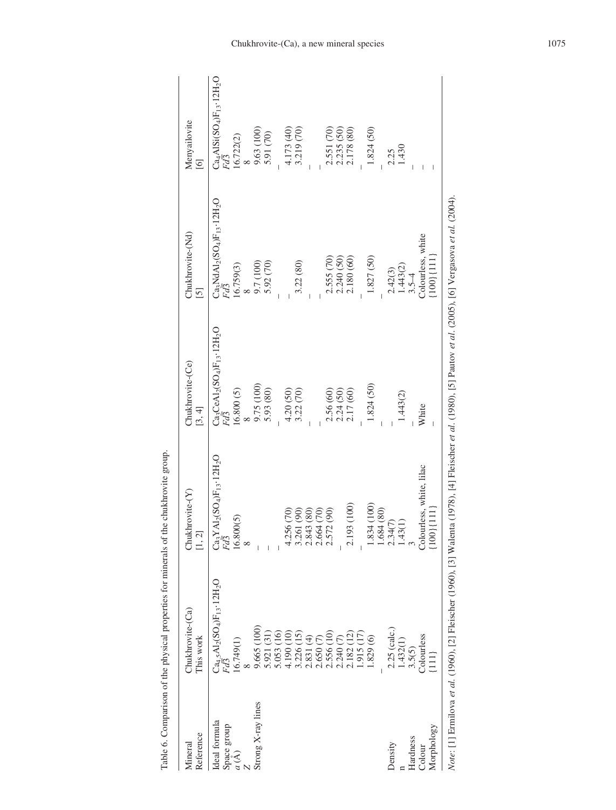| Reference<br>Mineral | Chukhrovite-(Ca)<br>This work                                                          | Chukhrovite-(Y)<br>[1, 2]                                                                      | Chukhrovite-(Ce)<br>[3, 4]                                                                                                                                      | Chukhrovite-(Nd)<br>5                                                  | Menyailovite<br>$\Xi$                                                                               |
|----------------------|----------------------------------------------------------------------------------------|------------------------------------------------------------------------------------------------|-----------------------------------------------------------------------------------------------------------------------------------------------------------------|------------------------------------------------------------------------|-----------------------------------------------------------------------------------------------------|
| Ideal formula        | $Ca_{4.5}Al_2(SO_4)F_{13}\cdot12H_2O$                                                  | $\frac{\text{Ca}_3 \text{YAl}_2(\text{SO}_4) \text{F}_{13} \cdot 12 \text{H}_2 \text{O}}{Fd3}$ | $\frac{\text{Ca}_3\text{CeAl}_2(\text{SO}_4)\text{F}_{13}\cdot12\text{H}_2\text{O}}{Fd3}$                                                                       | $\frac{\mathrm{Ca_{3}NdAl_{2}(SO_{4})F_{13}\cdot12H_{2}O}}{Fd\bar{3}}$ | $\frac{\text{Ca}_{4}\text{AISi}(\text{SO}_{4})\text{F}_{13}\cdot12\text{H}_{2}\text{O}}{Fd\bar{3}}$ |
| Space group $a(A)$   | 16.749(1)                                                                              | $\frac{16.800(5)}{8}$                                                                          | 16.800(5)                                                                                                                                                       | 16.759(3)                                                              | 16.722(2)                                                                                           |
|                      |                                                                                        |                                                                                                |                                                                                                                                                                 | $\infty$                                                               |                                                                                                     |
| Strong X-ray lines   | 9.665 (100)<br>5.921 (31)                                                              |                                                                                                | $9.75(100)$<br>$5.93(80)$                                                                                                                                       | 9.7 (100)<br>5.92 (70)                                                 | $9.63(100)$<br>$5.91(70)$                                                                           |
|                      |                                                                                        |                                                                                                |                                                                                                                                                                 |                                                                        |                                                                                                     |
|                      | 5.053 (16)<br>4.190 (10)                                                               |                                                                                                |                                                                                                                                                                 |                                                                        |                                                                                                     |
|                      |                                                                                        |                                                                                                | 4.20 (50)<br>3.22 (70)                                                                                                                                          |                                                                        | 4.173 (40)<br>3.219 (70)                                                                            |
|                      | $3.226(15)$<br>$2.831(4)$                                                              |                                                                                                |                                                                                                                                                                 | 3.22 (80)                                                              |                                                                                                     |
|                      |                                                                                        |                                                                                                |                                                                                                                                                                 |                                                                        |                                                                                                     |
|                      | $\widehat{\subset}$<br>2.650                                                           | 4.256 (70)<br>3.261 (90)<br>2.843 (80)<br>2.664 (70)<br>2.572 (90)                             |                                                                                                                                                                 |                                                                        |                                                                                                     |
|                      |                                                                                        |                                                                                                |                                                                                                                                                                 | 2.555 (70)                                                             |                                                                                                     |
|                      |                                                                                        |                                                                                                |                                                                                                                                                                 |                                                                        | 2.551 (70)<br>2.235 (50)                                                                            |
|                      |                                                                                        | 193 (100)<br>$\alpha$                                                                          | 2.56 (60)<br>2.24 (50)<br>2.17 (60)                                                                                                                             | $2.240(50)$<br>$2.180(60)$                                             | 2.178 (80)                                                                                          |
|                      | $\begin{array}{l} 2.556\ (10) \\ 2.240\ (7) \\ 2.182\ (12) \\ 1.915\ (17) \end{array}$ |                                                                                                |                                                                                                                                                                 |                                                                        |                                                                                                     |
|                      | 0.829(6)                                                                               | 1.834 (100)                                                                                    | 1.824 (50)                                                                                                                                                      | 1.827 (50)                                                             | 1.824 (50)                                                                                          |
|                      |                                                                                        | 1.684 (80)                                                                                     |                                                                                                                                                                 |                                                                        |                                                                                                     |
| Density              | 2.25 (calc.)                                                                           | 2.34(7)                                                                                        |                                                                                                                                                                 | 2.42(3)                                                                | 2.25                                                                                                |
|                      | 1.432(1)                                                                               | 1.43(1)                                                                                        | 1.443(2)                                                                                                                                                        | $1.443(2)$<br>$3.5-4$                                                  | 1.430                                                                                               |
| Hardness             | 3.5(5)                                                                                 | $\infty$                                                                                       |                                                                                                                                                                 |                                                                        |                                                                                                     |
| Colour               | Colourless                                                                             | Colourless, white, lilac                                                                       | White                                                                                                                                                           | Colourless, white                                                      |                                                                                                     |
| Morphology           | $\Xi$                                                                                  | $\{100\}\{111\}$                                                                               |                                                                                                                                                                 | $[100]{1111}$                                                          |                                                                                                     |
|                      |                                                                                        |                                                                                                | Note: [1] Ermilova et al. (1960), [2] Fleischer (1960), [3] Walenta (1978), [4] Fleischer et al. (1980), [5] Pautov et al. (2005), [6] Vergasova et al. (2004). |                                                                        |                                                                                                     |
|                      |                                                                                        |                                                                                                |                                                                                                                                                                 |                                                                        |                                                                                                     |
|                      |                                                                                        |                                                                                                |                                                                                                                                                                 |                                                                        |                                                                                                     |
|                      |                                                                                        |                                                                                                |                                                                                                                                                                 |                                                                        |                                                                                                     |
|                      |                                                                                        |                                                                                                |                                                                                                                                                                 |                                                                        |                                                                                                     |

| į                                         |
|-------------------------------------------|
| ֧֦֦֧֢֛֪֪֪֦֦֧֚֚֚֚֚֚֚֚֚֚֚֚֚֚֚֚֚֚֚֚֝֝֜֝֜֝֝֝֬ |
| ł                                         |
|                                           |
|                                           |
|                                           |
|                                           |
| l                                         |
|                                           |
|                                           |
| l                                         |
|                                           |
| í                                         |
| i<br>l                                    |
|                                           |
| <b>،</b>                                  |
| l                                         |
| l                                         |
|                                           |
| í<br>I<br>í                               |